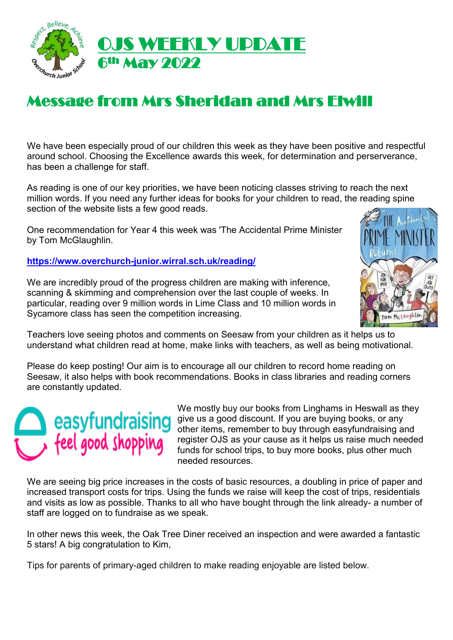

# Message from Mrs Sheridan and Mrs Elwill

We have been especially proud of our children this week as they have been positive and respectful around school. Choosing the Excellence awards this week, for determination and perserverance, has been a challenge for staff.

As reading is one of our key priorities, we have been noticing classes striving to reach the next million words. If you need any further ideas for books for your children to read, the reading spine section of the website lists a few good reads.

One recommendation for Year 4 this week was 'The Accidental Prime Minister by Tom McGlaughlin.

**<https://www.overchurch-junior.wirral.sch.uk/reading/>**

We are incredibly proud of the progress children are making with inference, scanning & skimming and comprehension over the last couple of weeks. In particular, reading over 9 million words in Lime Class and 10 million words in Sycamore class has seen the competition increasing.



Teachers love seeing photos and comments on Seesaw from your children as it helps us to understand what children read at home, make links with teachers, as well as being motivational.

Please do keep posting! Our aim is to encourage all our children to record home reading on Seesaw, it also helps with book recommendations. Books in class libraries and reading corners are constantly updated.

# feel good shopping

We mostly buy our books from Linghams in Heswall as they give us a good discount. If you are buying books, or any other items, remember to buy through easyfundraising and register OJS as your cause as it helps us raise much needed funds for school trips, to buy more books, plus other much needed resources.

We are seeing big price increases in the costs of basic resources, a doubling in price of paper and increased transport costs for trips. Using the funds we raise will keep the cost of trips, residentials and visits as low as possible. Thanks to all who have bought through the link already- a number of staff are logged on to fundraise as we speak.

In other news this week, the Oak Tree Diner received an inspection and were awarded a fantastic 5 stars! A big congratulation to Kim,

Tips for parents of primary-aged children to make reading enjoyable are listed below.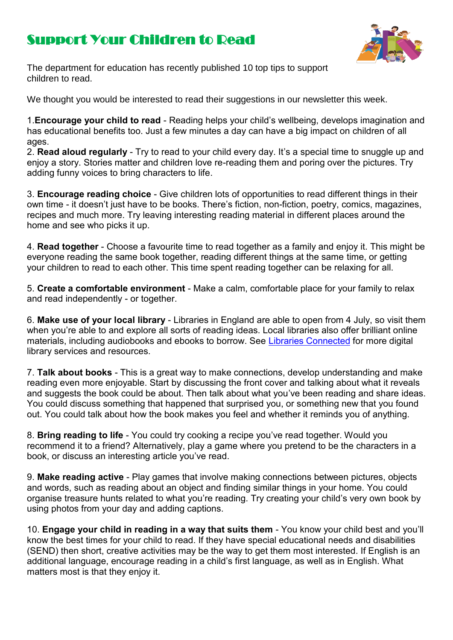# Support Your Children to Read



The department for education has recently published 10 top tips to support children to read.

We thought you would be interested to read their suggestions in our newsletter th[is w](https://creativecommons.org/licenses/by-nc/3.0/)eek.

1.**Encourage your child to read** - Reading helps your child's wellbeing, develops imagination and has educational benefits too. Just a few minutes a day can have a big impact on children of all ages.

2. **Read aloud regularly** - Try to read to your child every day. It's a special time to snuggle up and enjoy a story. Stories matter and children love re-reading them and poring over the pictures. Try adding funny voices to bring characters to life.

3. **Encourage reading choice** - Give children lots of opportunities to read different things in their own time - it doesn't just have to be books. There's fiction, non-fiction, poetry, comics, magazines, recipes and much more. Try leaving interesting reading material in different places around the home and see who picks it up.

4. **Read together** - Choose a favourite time to read together as a family and enjoy it. This might be evervone reading the same book together, reading different things at the same time, or getting your children to read to each other. This time spent reading together can be relaxing for all.

5. **Create a comfortable environment** - Make a calm, comfortable place for your family to relax and read independently - or together.

6. **Make use of your local library** - Libraries in England are able to open from 4 July, so visit them when you're able to and explore all sorts of reading ideas. Local libraries also offer brilliant online materials, including audiobooks and ebooks to borrow. See [Libraries Connected](https://www.librariesconnected.org.uk/page/librariesfromhome) for more digital library services and resources.

7. **Talk about books** - This is a great way to make connections, develop understanding and make reading even more enjoyable. Start by discussing the front cover and talking about what it reveals and suggests the book could be about. Then talk about what you've been reading and share ideas. You could discuss something that happened that surprised you, or something new that you found out. You could talk about how the book makes you feel and whether it reminds you of anything.

8. **Bring reading to life** - You could try cooking a recipe you've read together. Would you recommend it to a friend? Alternatively, play a game where you pretend to be the characters in a book, or discuss an interesting article you've read.

9. **Make reading active** - Play games that involve making connections between pictures, objects and words, such as reading about an object and finding similar things in your home. You could organise treasure hunts related to what you're reading. Try creating your child's very own book by using photos from your day and adding captions.

10. **Engage your child in reading in a way that suits them** - You know your child best and you'll know the best times for your child to read. If they have special educational needs and disabilities (SEND) then short, creative activities may be the way to get them most interested. If English is an additional language, encourage reading in a child's first language, as well as in English. What matters most is that they enjoy it.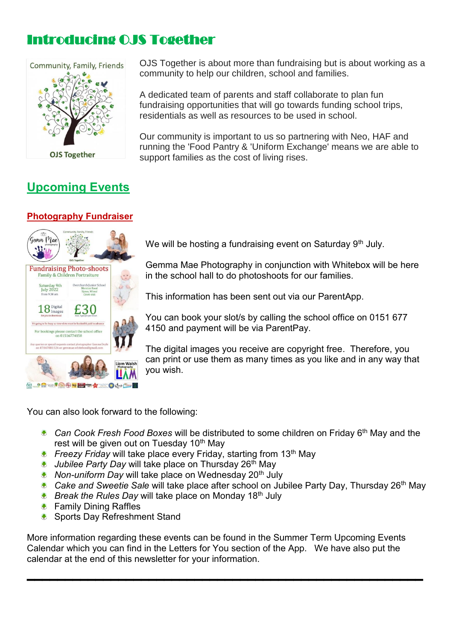# Introducing OJS Together



## **Upcoming Events** Ι

## **Photography Fundraiser**



OJS Together is about more than fundraising but is about working as a community to help our children, school and families.

A dedicated team of parents and staff collaborate to plan fun fundraising opportunities that will go towards funding school trips, residentials as well as resources to be used in school.

Our community is important to us so partnering with Neo, HAF and running the 'Food Pantry & 'Uniform Exchange' means we are able to support families as the cost of living rises.

We will be hosting a fundraising event on Saturday 9<sup>th</sup> July.

Gemma Mae Photography in conjunction with Whitebox will be here in the school hall to do photoshoots for our families.

This information has been sent out via our ParentApp.

You can book your slot/s by calling the school office on 0151 677 4150 and payment will be via ParentPay.

The digital images you receive are copyright free. Therefore, you can print or use them as many times as you like and in any way that you wish.

You can also look forward to the following:

- **Can Cook Fresh Food Boxes will be distributed to some children on Friday 6<sup>th</sup> May and the** rest will be given out on Tuesday 10<sup>th</sup> May
- *Freezy Friday* will take place every Friday, starting from 13<sup>th</sup> May
- *Jubilee Party Day* will take place on Thursday 26th May
- *Non-uniform Day* will take place on Wednesday 20<sup>th</sup> July
- **Cake and Sweetie Sale will take place after school on Jubilee Party Day, Thursday 26<sup>th</sup> May**
- **Break the Rules Day will take place on Monday 18th July**
- **♦ Family Dining Raffles**

Sports Day Refreshment Stand

More information regarding these events can be found in the Summer Term Upcoming Events Calendar which you can find in the Letters for You section of the App. We have also put the calendar at the end of this newsletter for your information.  $\mathcal{L}_\text{max}$  and the contract of the contract of the contract of the contract of the contract of the contract of the contract of the contract of the contract of the contract of the contract of the contract of the contrac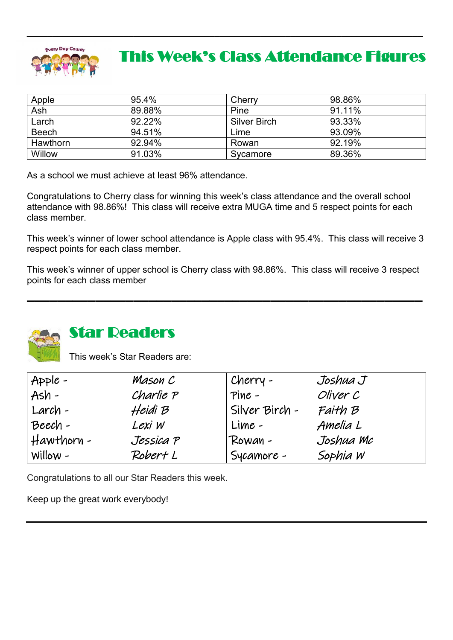

# This Week's Class Attendance Figures

| Apple        | 95.4%  | Cherry              | 98.86% |
|--------------|--------|---------------------|--------|
| Ash          | 89.88% | Pine                | 91.11% |
| Larch        | 92.22% | <b>Silver Birch</b> | 93.33% |
| <b>Beech</b> | 94.51% | Lime                | 93.09% |
| Hawthorn     | 92.94% | Rowan               | 92.19% |
| Willow       | 91.03% | Sycamore            | 89.36% |

 $\mathcal{L}_\mathcal{L} = \{ \mathcal{L}_\mathcal{L} = \{ \mathcal{L}_\mathcal{L} = \{ \mathcal{L}_\mathcal{L} = \{ \mathcal{L}_\mathcal{L} = \{ \mathcal{L}_\mathcal{L} = \{ \mathcal{L}_\mathcal{L} = \{ \mathcal{L}_\mathcal{L} = \{ \mathcal{L}_\mathcal{L} = \{ \mathcal{L}_\mathcal{L} = \{ \mathcal{L}_\mathcal{L} = \{ \mathcal{L}_\mathcal{L} = \{ \mathcal{L}_\mathcal{L} = \{ \mathcal{L}_\mathcal{L} = \{ \mathcal{L}_\mathcal{$ 

As a school we must achieve at least 96% attendance.

Congratulations to Cherry class for winning this week's class attendance and the overall school attendance with 98.86%! This class will receive extra MUGA time and 5 respect points for each class member.

This week's winner of lower school attendance is Apple class with 95.4%. This class will receive 3 respect points for each class member.

This week's winner of upper school is Cherry class with 98.86%. This class will receive 3 respect points for each class member  $\mathcal{L}_\text{max}$  and the contract of the contract of the contract of the contract of the contract of the contract of the contract of the contract of the contract of the contract of the contract of the contract of the contrac



## Star Readers

This week's Star Readers are:

| $Apple -$  | Mason C   | Cherry -       | Joshua J  |
|------------|-----------|----------------|-----------|
| $Ash -$    | Charlie P | Pine -         | Oliver C  |
| Larch -    | Heidi B   | Silver Birch - | Faith B   |
| Beech-     | Lexi W    | Lime -         | Amelia L  |
| Hawthorn - | Jessica P | Rowan-         | Joshua Mc |
| Willow $-$ | Robert L  | Sycamore -     | Sophia W  |

Congratulations to all our Star Readers this week.

Keep up the great work everybody!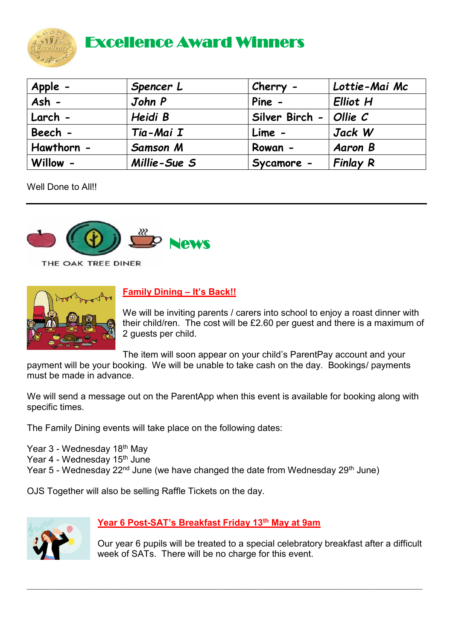

# Excellence Award Winners

| Apple -    | Spencer L       | Cherry -              | Lottie-Mai Mc   |
|------------|-----------------|-----------------------|-----------------|
| Ash -      | John P          | Pine -                | <b>Elliot H</b> |
| Larch -    | Heidi B         | Silver Birch $ \vert$ | $O$ llie $C$    |
| Beech -    | Tia-Mai I       | Lime -                | Jack W          |
| Hawthorn - | <b>Samson M</b> | Rowan -               | <b>Aaron B</b>  |
| Willow -   | Millie-Sue S    | Sycamore -            | <b>Finlay R</b> |

Well Done to All!!



THE OAK TREE DINER



## **Family Dining – It's Back!!**

We will be inviting parents / carers into school to enjoy a roast dinner with their child/ren. The cost will be £2.60 per guest and there is a maximum of 2 guests per child.

The item will soon appear on your child's ParentPay account and your

payment will be your booking. We will be unable to take cash on the day. Bookings/ payments must be made in advance.

We will send a message out on the ParentApp when this event is available for booking along with specific times.

The Family Dining events will take place on the following dates:

Year 3 - Wednesday 18<sup>th</sup> May Year 4 - Wednesday 15<sup>th</sup> June Year 5 - Wednesday 22<sup>nd</sup> June (we have changed the date from Wednesday 29<sup>th</sup> June)

OJS Together will also be selling Raffle Tickets on the day.



### **Year 6 Post-SAT's Breakfast Friday 13th May at 9am**

**\_\_\_\_\_\_\_\_\_\_\_\_\_\_\_\_\_\_\_\_\_\_\_\_\_\_\_\_\_\_\_\_\_\_\_\_\_\_\_\_\_\_\_\_\_\_\_\_\_\_\_\_\_\_\_\_\_\_\_\_\_\_\_\_\_\_\_\_\_\_\_\_\_\_\_\_\_\_**

Our year 6 pupils will be treated to a special celebratory breakfast after a difficult week of SATs. There will be no charge for this event.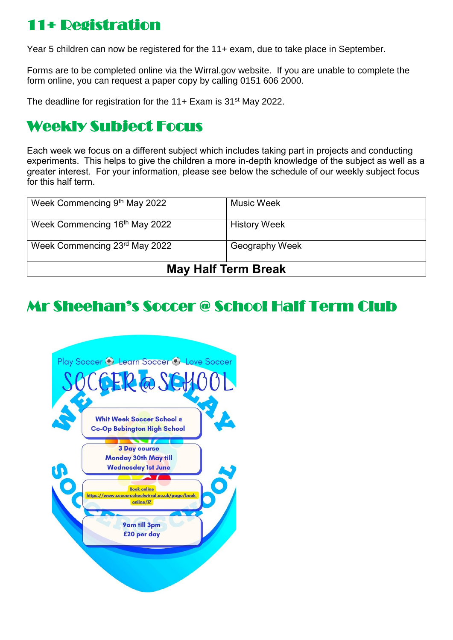# 11+ Registration

Year 5 children can now be registered for the 11+ exam, due to take place in September.

Forms are to be completed online via the Wirral.gov website. If you are unable to complete the form online, you can request a paper copy by calling 0151 606 2000.

The deadline for registration for the 11+ Exam is 31<sup>st</sup> May 2022.

# Weekly Subject Focus

Each week we focus on a different subject which includes taking part in projects and conducting experiments. This helps to give the children a more in-depth knowledge of the subject as well as a greater interest. For your information, please see below the schedule of our weekly subject focus for this half term.

| Week Commencing 9th May 2022  | <b>Music Week</b>   |
|-------------------------------|---------------------|
| Week Commencing 16th May 2022 | <b>History Week</b> |
| Week Commencing 23rd May 2022 | Geography Week      |
| <b>May Half Term Break</b>    |                     |

# Mr Sheehan's Soccer @ School Half Term Club